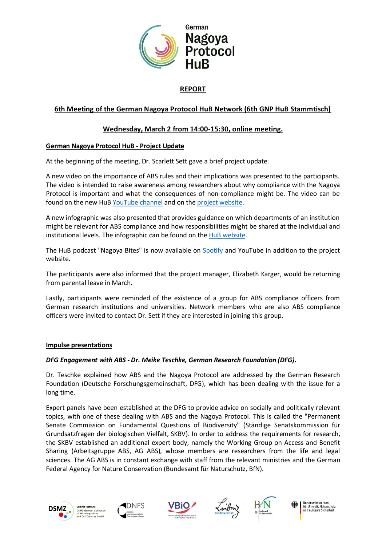

# **REPORT**

# **6th Meeting of the German Nagoya Protocol HuB Network (6th GNP HuB Stammtisch)**

# **Wednesday, March 2 from 14:00-15:30, online meeting.**

### **German Nagoya Protocol HuB - Project Update**

At the beginning of the meeting, Dr. Scarlett Sett gave a brief project update.

A new video on the importance of ABS rules and their implications was presented to the participants. The video is intended to raise awareness among researchers about why compliance with the Nagoya Protocol is important and what the consequences of non-compliance might be. The video can be found on the new HuB [YouTube channel](https://www.youtube.com/channel/UCEDAvh1v62toOJ-SJkc_E5w) and on the project [website.](https://www.nagoyaprotocol-hub.de/)

A new infographic was also presented that provides guidance on which departments of an institution might be relevant for ABS compliance and how responsibilities might be shared at the individual and institutional levels. The infographic can be found on the [HuB website.](https://www.nagoyaprotocol-hub.de/institutional-measures-for-compliance-infographic/)

The HuB podcast "Nagoya Bites" is now available on [Spotify](https://open.spotify.com/show/0mCaSiXys3mlaAOdnee2dA?si=3638c3b4efdf49d0) and YouTube in addition to the project website.

The participants were also informed that the project manager, Elizabeth Karger, would be returning from parental leave in March.

Lastly, participants were reminded of the existence of a group for ABS compliance officers from German research institutions and universities. Network members who are also ABS compliance officers were invited to contact Dr. Sett if they are interested in joining this group.

### **Impulse presentations**

### *DFG Engagement with ABS - Dr. Meike Teschke, German Research Foundation (DFG).*

Dr. Teschke explained how ABS and the Nagoya Protocol are addressed by the German Research Foundation (Deutsche Forschungsgemeinschaft, DFG), which has been dealing with the issue for a long time.

Expert panels have been established at the DFG to provide advice on socially and politically relevant topics, with one of these dealing with ABS and the Nagoya Protocol. This is called the "Permanent Senate Commission on Fundamental Questions of Biodiversity" (Ständige Senatskommission für Grundsatzfragen der biologischen Vielfalt, SKBV). In order to address the requirements for research, the SKBV established an additional expert body, namely the Working Group on Access and Benefit Sharing (Arbeitsgruppe ABS, AG ABS), whose members are researchers from the life and legal sciences. The AG ABS is in constant exchange with staff from the relevant ministries and the German Federal Agency for Nature Conservation (Bundesamt für Naturschutz, BfN).











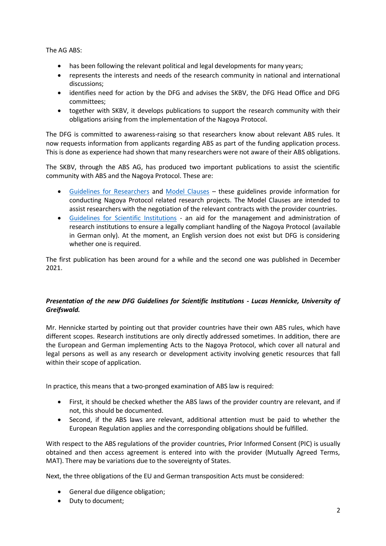The AG ABS:

- has been following the relevant political and legal developments for many years;
- represents the interests and needs of the research community in national and international discussions;
- identifies need for action by the DFG and advises the SKBV, the DFG Head Office and DFG committees;
- together with SKBV, it develops publications to support the research community with their obligations arising from the implementation of the Nagoya Protocol.

The DFG is committed to awareness-raising so that researchers know about relevant ABS rules. It now requests information from applicants regarding ABS as part of the funding application process. This is done as experience had shown that many researchers were not aware of their ABS obligations.

The SKBV, through the ABS AG, has produced two important publications to assist the scientific community with ABS and the Nagoya Protocol. These are:

- [Guidelines for Researchers](https://www.dfg.de/download/pdf/dfg_im_profil/gremien/senat/biologische_vielfalt/erlaeuterungen_entwicklungsvorhaben_en.pdf) and [Model Clauses](https://www.dfg.de/download/pdf/dfg_im_profil/gremien/senat/biologische_vielfalt/191212_model_clauses.pdf) these guidelines provide information for conducting Nagoya Protocol related research projects. The Model Clauses are intended to assist researchers with the negotiation of the relevant contracts with the provider countries.
- Guidelines [for Scientific Institutions](https://www.dfg.de/download/pdf/dfg_im_profil/gremien/senat/biologische_vielfalt/nagoya_erlaeuterungen_wissenschaftliche_einrichtungen.pdf) an aid for the management and administration of research institutions to ensure a legally compliant handling of the Nagoya Protocol (available in German only). At the moment, an English version does not exist but DFG is considering whether one is required.

The first publication has been around for a while and the second one was published in December 2021.

### *Presentation of the new DFG Guidelines for Scientific Institutions - Lucas Hennicke, University of Greifswald.*

Mr. Hennicke started by pointing out that provider countries have their own ABS rules, which have different scopes. Research institutions are only directly addressed sometimes. In addition, there are the European and German implementing Acts to the Nagoya Protocol, which cover all natural and legal persons as well as any research or development activity involving genetic resources that fall within their scope of application.

In practice, this means that a two-pronged examination of ABS law is required:

- First, it should be checked whether the ABS laws of the provider country are relevant, and if not, this should be documented.
- Second, if the ABS laws are relevant, additional attention must be paid to whether the European Regulation applies and the corresponding obligations should be fulfilled.

With respect to the ABS regulations of the provider countries, Prior Informed Consent (PIC) is usually obtained and then access agreement is entered into with the provider (Mutually Agreed Terms, MAT). There may be variations due to the sovereignty of States.

Next, the three obligations of the EU and German transposition Acts must be considered:

- General due diligence obligation;
- Duty to document;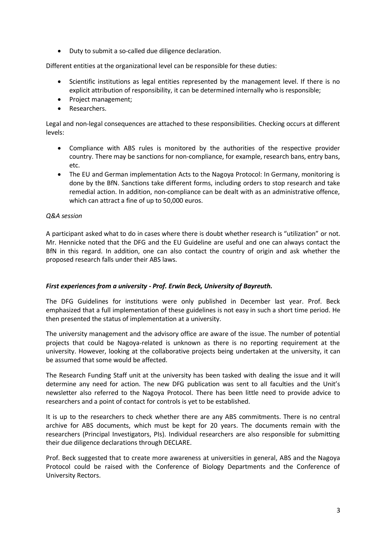• Duty to submit a so-called due diligence declaration.

Different entities at the organizational level can be responsible for these duties:

- Scientific institutions as legal entities represented by the management level. If there is no explicit attribution of responsibility, it can be determined internally who is responsible;
- Project management;
- Researchers.

Legal and non-legal consequences are attached to these responsibilities. Checking occurs at different levels:

- Compliance with ABS rules is monitored by the authorities of the respective provider country. There may be sanctions for non-compliance, for example, research bans, entry bans, etc.
- The EU and German implementation Acts to the Nagoya Protocol: In Germany, monitoring is done by the BfN. Sanctions take different forms, including orders to stop research and take remedial action. In addition, non-compliance can be dealt with as an administrative offence, which can attract a fine of up to 50,000 euros.

### *Q&A session*

A participant asked what to do in cases where there is doubt whether research is "utilization" or not. Mr. Hennicke noted that the DFG and the EU Guideline are useful and one can always contact the BfN in this regard. In addition, one can also contact the country of origin and ask whether the proposed research falls under their ABS laws.

### *First experiences from a university - Prof. Erwin Beck, University of Bayreuth.*

The DFG Guidelines for institutions were only published in December last year. Prof. Beck emphasized that a full implementation of these guidelines is not easy in such a short time period. He then presented the status of implementation at a university.

The university management and the advisory office are aware of the issue. The number of potential projects that could be Nagoya-related is unknown as there is no reporting requirement at the university. However, looking at the collaborative projects being undertaken at the university, it can be assumed that some would be affected.

The Research Funding Staff unit at the university has been tasked with dealing the issue and it will determine any need for action. The new DFG publication was sent to all faculties and the Unit's newsletter also referred to the Nagoya Protocol. There has been little need to provide advice to researchers and a point of contact for controls is yet to be established.

It is up to the researchers to check whether there are any ABS commitments. There is no central archive for ABS documents, which must be kept for 20 years. The documents remain with the researchers (Principal Investigators, PIs). Individual researchers are also responsible for submitting their due diligence declarations through DECLARE.

Prof. Beck suggested that to create more awareness at universities in general, ABS and the Nagoya Protocol could be raised with the Conference of Biology Departments and the Conference of University Rectors.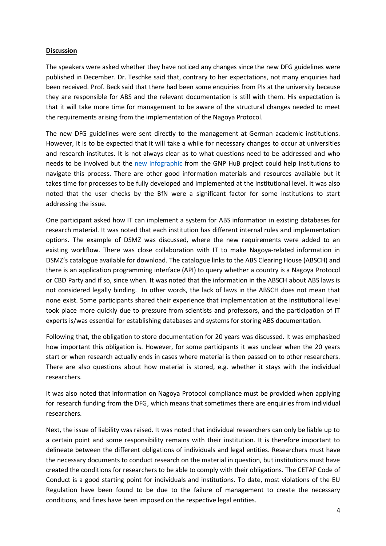### **Discussion**

The speakers were asked whether they have noticed any changes since the new DFG guidelines were published in December. Dr. Teschke said that, contrary to her expectations, not many enquiries had been received. Prof. Beck said that there had been some enquiries from PIs at the university because they are responsible for ABS and the relevant documentation is still with them. His expectation is that it will take more time for management to be aware of the structural changes needed to meet the requirements arising from the implementation of the Nagoya Protocol.

The new DFG guidelines were sent directly to the management at German academic institutions. However, it is to be expected that it will take a while for necessary changes to occur at universities and research institutes. It is not always clear as to what questions need to be addressed and who needs to be involved but the new [infographic](https://www.nagoyaprotocol-hub.de/institutional-measures-for-compliance-infographic/) from the GNP HuB project could help institutions to navigate this process. There are other good information materials and resources available but it takes time for processes to be fully developed and implemented at the institutional level. It was also noted that the user checks by the BfN were a significant factor for some institutions to start addressing the issue.

One participant asked how IT can implement a system for ABS information in existing databases for research material. It was noted that each institution has different internal rules and implementation options. The example of DSMZ was discussed, where the new requirements were added to an existing workflow. There was close collaboration with IT to make Nagoya-related information in DSMZ's catalogue available for download. The catalogue links to the ABS Clearing House (ABSCH) and there is an application programming interface (API) to query whether a country is a Nagoya Protocol or CBD Party and if so, since when. It was noted that the information in the ABSCH about ABS laws is not considered legally binding. In other words, the lack of laws in the ABSCH does not mean that none exist. Some participants shared their experience that implementation at the institutional level took place more quickly due to pressure from scientists and professors, and the participation of IT experts is/was essential for establishing databases and systems for storing ABS documentation.

Following that, the obligation to store documentation for 20 years was discussed. It was emphasized how important this obligation is. However, for some participants it was unclear when the 20 years start or when research actually ends in cases where material is then passed on to other researchers. There are also questions about how material is stored, e.g. whether it stays with the individual researchers.

It was also noted that information on Nagoya Protocol compliance must be provided when applying for research funding from the DFG, which means that sometimes there are enquiries from individual researchers.

Next, the issue of liability was raised. It was noted that individual researchers can only be liable up to a certain point and some responsibility remains with their institution. It is therefore important to delineate between the different obligations of individuals and legal entities. Researchers must have the necessary documents to conduct research on the material in question, but institutions must have created the conditions for researchers to be able to comply with their obligations. The CETAF Code of Conduct is a good starting point for individuals and institutions. To date, most violations of the EU Regulation have been found to be due to the failure of management to create the necessary conditions, and fines have been imposed on the respective legal entities.